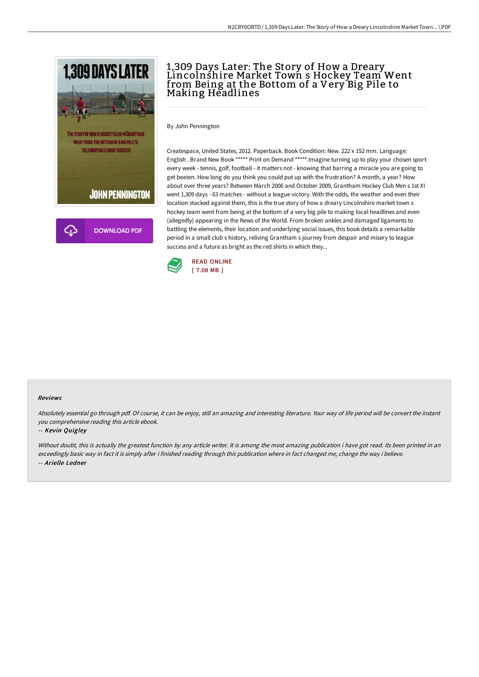

# 1,309 Days Later: The Story of How a Dreary Lincolnshire Market Town s Hockey Team Went from Being at the Bottom of a Very Big Pile to Making Headlines

By John Pennington

Createspace, United States, 2012. Paperback. Book Condition: New. 222 x 152 mm. Language: English . Brand New Book \*\*\*\*\* Print on Demand \*\*\*\*\*.Imagine turning up to play your chosen sport every week - tennis, golf, football - it matters not - knowing that barring a miracle you are going to get beaten. How long do you think you could put up with the frustration? A month, a year? How about over three years? Between March 2006 and October 2009, Grantham Hockey Club Men s 1st XI went 1,309 days - 63 matches - without a league victory. With the odds, the weather and even their location stacked against them, this is the true story of how a dreary Lincolnshire market town s hockey team went from being at the bottom of a very big pile to making local headlines and even (allegedly) appearing in the News of the World. From broken ankles and damaged ligaments to battling the elements, their location and underlying social issues, this book details a remarkable period in a small club s history, reliving Grantham s journey from despair and misery to league success and a future as bright as the red shirts in which they...



#### Reviews

Absolutely essential go through pdf. Of course, it can be enjoy, still an amazing and interesting literature. Your way of life period will be convert the instant you comprehensive reading this article ebook.

#### -- Kevin Quigley

Without doubt, this is actually the greatest function by any article writer. It is among the most amazing publication i have got read. Its been printed in an exceedingly basic way in fact it is simply after i finished reading through this publication where in fact changed me, change the way i believe. -- Arielle Ledner